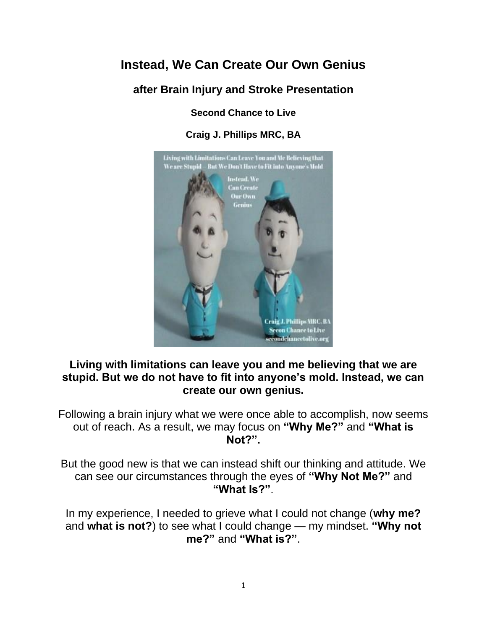# **Instead, We Can Create Our Own Genius**

## **after Brain Injury and Stroke Presentation**

**Second Chance to Live**

**Craig J. Phillips MRC, BA**



### **Living with limitations can leave you and me believing that we are stupid. But we do not have to fit into anyone's mold. Instead, we can create our own genius.**

Following a brain injury what we were once able to accomplish, now seems out of reach. As a result, we may focus on **"Why Me?"** and **"What is Not?".**

But the good new is that we can instead shift our thinking and attitude. We can see our circumstances through the eyes of **"Why Not Me?"** and **"What Is?"**.

In my experience, I needed to grieve what I could not change (**why me?** and **what is not?**) to see what I could change — my mindset. **"Why not me?"** and **"What is?"**.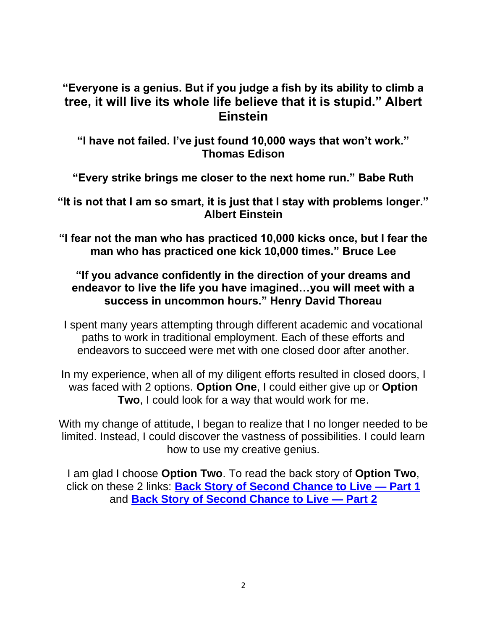## **"Everyone is a genius. But if you judge a fish by its ability to climb a tree, it will live its whole life believe that it is stupid." Albert Einstein**

**"I have not failed. I've just found 10,000 ways that won't work." Thomas Edison**

**"Every strike brings me closer to the next home run." Babe Ruth**

**"It is not that I am so smart, it is just that I stay with problems longer." Albert Einstein**

**"I fear not the man who has practiced 10,000 kicks once, but I fear the man who has practiced one kick 10,000 times." Bruce Lee**

### **"If you advance confidently in the direction of your dreams and endeavor to live the life you have imagined…you will meet with a success in uncommon hours." Henry David Thoreau**

I spent many years attempting through different academic and vocational paths to work in traditional employment. Each of these efforts and endeavors to succeed were met with one closed door after another.

In my experience, when all of my diligent efforts resulted in closed doors, I was faced with 2 options. **Option One**, I could either give up or **Option Two**, I could look for a way that would work for me.

With my change of attitude, I began to realize that I no longer needed to be limited. Instead, I could discover the vastness of possibilities. I could learn how to use my creative genius.

I am glad I choose **Option Two**. To read the back story of **Option Two**, click on these 2 links: **[Back Story of Second Chance to Live —](https://secondchancetolive.org/2013/09/24/back-story-of-second-chance-to-live-part-1-the-process/) Part 1** and **[Back Story of Second Chance to Live —](https://secondchancetolive.org/2013/09/25/back-story-second-chance-to-live-part-2-process/) Part 2**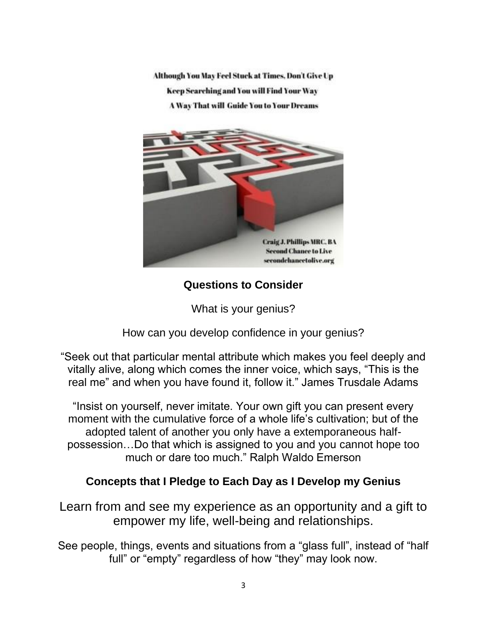Although You May Feel Stuck at Times, Don't Give Up Keep Searching and You will Find Your Way **A Way That will Guide You to Your Dreams** 



**Questions to Consider**

What is your genius?

How can you develop confidence in your genius?

"Seek out that particular mental attribute which makes you feel deeply and vitally alive, along which comes the inner voice, which says, "This is the real me" and when you have found it, follow it." James Trusdale Adams

"Insist on yourself, never imitate. Your own gift you can present every moment with the cumulative force of a whole life's cultivation; but of the adopted talent of another you only have a extemporaneous halfpossession…Do that which is assigned to you and you cannot hope too much or dare too much." Ralph Waldo Emerson

## **Concepts that I Pledge to Each Day as I Develop my Genius**

Learn from and see my experience as an opportunity and a gift to empower my life, well-being and relationships.

See people, things, events and situations from a "glass full", instead of "half full" or "empty" regardless of how "they" may look now.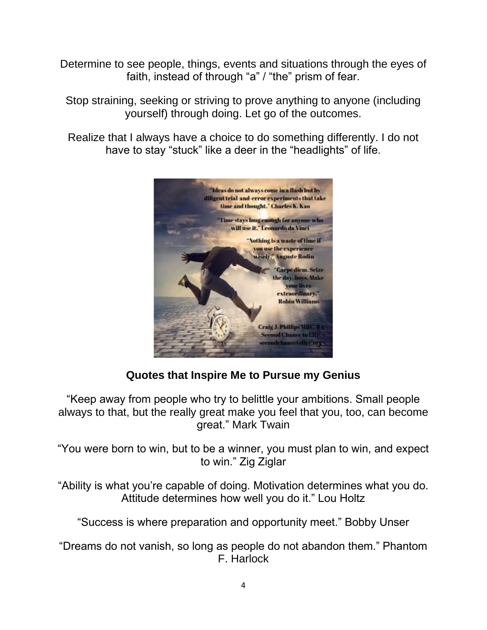Determine to see people, things, events and situations through the eyes of faith, instead of through "a" / "the" prism of fear.

Stop straining, seeking or striving to prove anything to anyone (including yourself) through doing. Let go of the outcomes.

Realize that I always have a choice to do something differently. I do not have to stay "stuck" like a deer in the "headlights" of life.



## **Quotes that Inspire Me to Pursue my Genius**

"Keep away from people who try to belittle your ambitions. Small people always to that, but the really great make you feel that you, too, can become great." Mark Twain

"You were born to win, but to be a winner, you must plan to win, and expect to win." Zig Ziglar

"Ability is what you're capable of doing. Motivation determines what you do. Attitude determines how well you do it." Lou Holtz

"Success is where preparation and opportunity meet." Bobby Unser

"Dreams do not vanish, so long as people do not abandon them." Phantom F. Harlock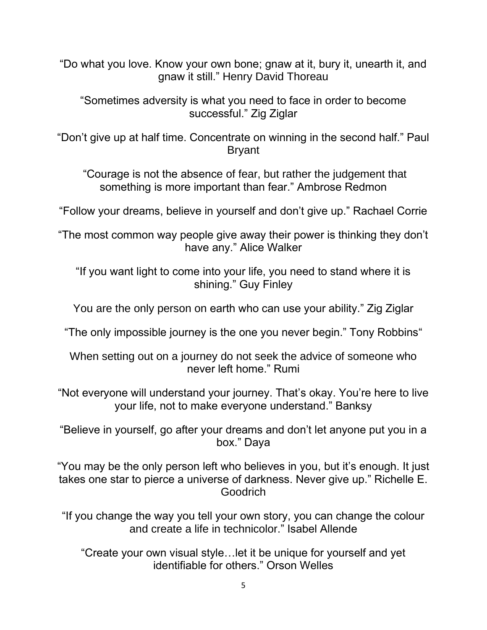"Do what you love. Know your own bone; gnaw at it, bury it, unearth it, and gnaw it still." Henry David Thoreau

"Sometimes adversity is what you need to face in order to become successful." Zig Ziglar

"Don't give up at half time. Concentrate on winning in the second half." Paul Bryant

"Courage is not the absence of fear, but rather the judgement that something is more important than fear." Ambrose Redmon

"Follow your dreams, believe in yourself and don't give up." Rachael Corrie

"The most common way people give away their power is thinking they don't have any." Alice Walker

"If you want light to come into your life, you need to stand where it is shining." Guy Finley

You are the only person on earth who can use your ability." Zig Ziglar

"The only impossible journey is the one you never begin." Tony Robbins"

When setting out on a journey do not seek the advice of someone who never left home." Rumi

"Not everyone will understand your journey. That's okay. You're here to live your life, not to make everyone understand." Banksy

"Believe in yourself, go after your dreams and don't let anyone put you in a box." Daya

"You may be the only person left who believes in you, but it's enough. It just takes one star to pierce a universe of darkness. Never give up." Richelle E. Goodrich

"If you change the way you tell your own story, you can change the colour and create a life in technicolor." Isabel Allende

"Create your own visual style…let it be unique for yourself and yet identifiable for others." Orson Welles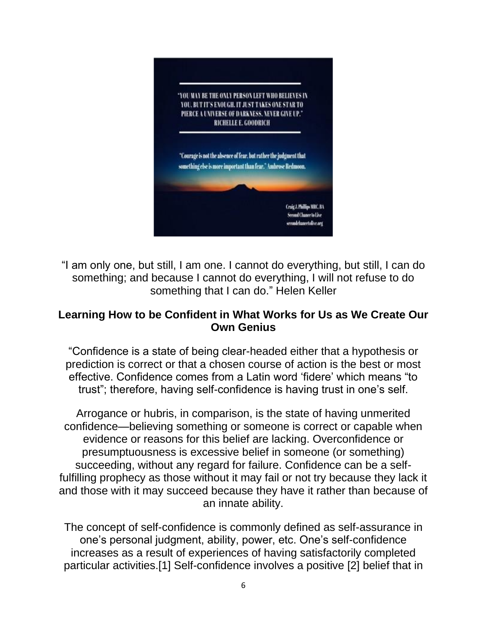

"I am only one, but still, I am one. I cannot do everything, but still, I can do something; and because I cannot do everything, I will not refuse to do something that I can do." Helen Keller

### **Learning How to be Confident in What Works for Us as We Create Our Own Genius**

"Confidence is a state of being clear-headed either that a hypothesis or prediction is correct or that a chosen course of action is the best or most effective. Confidence comes from a Latin word 'fidere' which means "to trust"; therefore, having self-confidence is having trust in one's self.

Arrogance or hubris, in comparison, is the state of having unmerited confidence—believing something or someone is correct or capable when evidence or reasons for this belief are lacking. Overconfidence or presumptuousness is excessive belief in someone (or something) succeeding, without any regard for failure. Confidence can be a selffulfilling prophecy as those without it may fail or not try because they lack it and those with it may succeed because they have it rather than because of an innate ability.

The concept of self-confidence is commonly defined as self-assurance in one's personal judgment, ability, power, etc. One's self-confidence increases as a result of experiences of having satisfactorily completed particular activities.[1] Self-confidence involves a positive [2] belief that in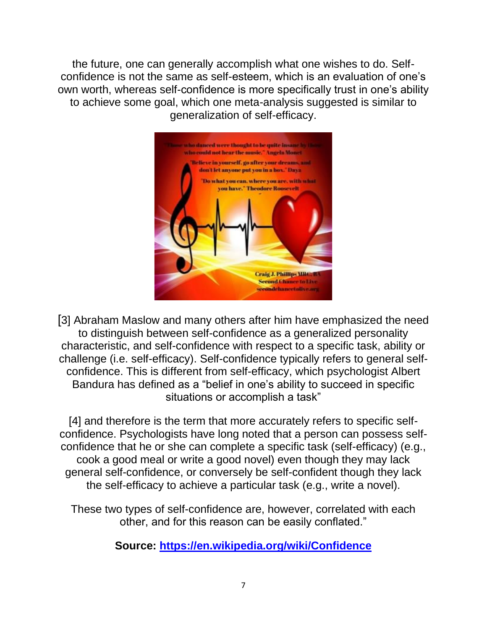the future, one can generally accomplish what one wishes to do. Selfconfidence is not the same as self-esteem, which is an evaluation of one's own worth, whereas self-confidence is more specifically trust in one's ability to achieve some goal, which one meta-analysis suggested is similar to generalization of self-efficacy.



[3] Abraham Maslow and many others after him have emphasized the need to distinguish between self-confidence as a generalized personality characteristic, and self-confidence with respect to a specific task, ability or challenge (i.e. self-efficacy). Self-confidence typically refers to general selfconfidence. This is different from self-efficacy, which psychologist Albert Bandura has defined as a "belief in one's ability to succeed in specific situations or accomplish a task"

[4] and therefore is the term that more accurately refers to specific selfconfidence. Psychologists have long noted that a person can possess selfconfidence that he or she can complete a specific task (self-efficacy) (e.g., cook a good meal or write a good novel) even though they may lack general self-confidence, or conversely be self-confident though they lack the self-efficacy to achieve a particular task (e.g., write a novel).

These two types of self-confidence are, however, correlated with each other, and for this reason can be easily conflated."

**Source:<https://en.wikipedia.org/wiki/Confidence>**